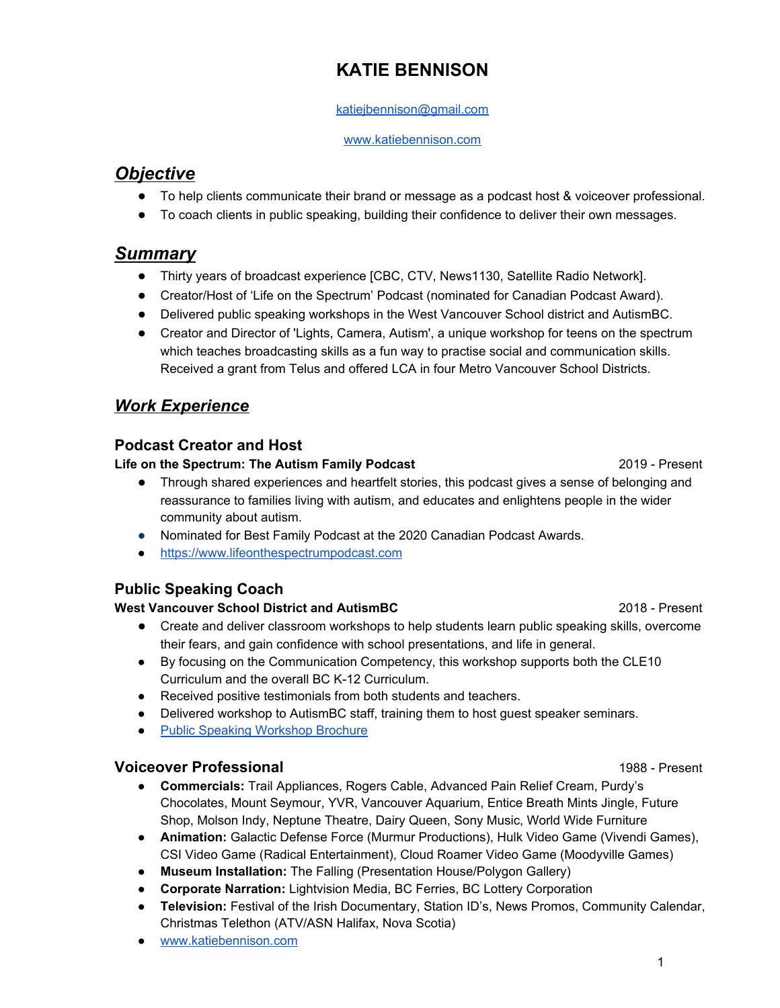# **KATIE BENNISON**

#### [katiejbennison@gmail.com](mailto:katiejbennison@gmail.com)

#### [www.katiebennison.com](http://www.katiebennison.com/)

## *Objective*

- To help clients communicate their brand or message as a podcast host & voiceover professional.
- To coach clients in public speaking, building their confidence to deliver their own messages.

## *Summary*

- Thirty years of broadcast experience [CBC, CTV, News1130, Satellite Radio Network].
- Creator/Host of 'Life on the Spectrum' Podcast (nominated for Canadian Podcast Award).
- Delivered public speaking workshops in the West Vancouver School district and AutismBC.
- Creator and Director of 'Lights, Camera, Autism', a unique workshop for teens on the spectrum which teaches broadcasting skills as a fun way to practise social and communication skills. Received a grant from Telus and offered LCA in four Metro Vancouver School Districts.

## *Work Experience*

### **Podcast Creator and Host**

#### **Life on the Spectrum: The Autism Family Podcast** 2019 - Present

- Through shared experiences and heartfelt stories, this podcast gives a sense of belonging and reassurance to families living with autism, and educates and enlightens people in the wider community about autism.
- Nominated for Best Family Podcast at the 2020 Canadian Podcast Awards.
- [https://www.lifeonthespectrumpodcast.com](https://www.lifeonthespectrumpodcast.com/)

### **Public Speaking Coach**

### **West Vancouver School District and AutismBC** 2018 - Present

- Create and deliver classroom workshops to help students learn public speaking skills, overcome their fears, and gain confidence with school presentations, and life in general.
- By focusing on the Communication Competency, this workshop supports both the CLE10 Curriculum and the overall BC K-12 Curriculum.
- Received positive testimonials from both students and teachers.
- Delivered workshop to AutismBC staff, training them to host guest speaker seminars.
- Public Speaking [Workshop](https://drive.google.com/file/d/1plST6sZGebxHwHMCKX2aIMl3o8bhtSGS/view?usp=sharing) Brochure

### **Voiceover Professional** 1988 - Present

- **● Commercials:** Trail Appliances, Rogers Cable, Advanced Pain Relief Cream, Purdy's Chocolates, Mount Seymour, YVR, Vancouver Aquarium, Entice Breath Mints Jingle, Future Shop, Molson Indy, Neptune Theatre, Dairy Queen, Sony Music, World Wide Furniture
- **● Animation:** Galactic Defense Force (Murmur Productions), Hulk Video Game (Vivendi Games), CSI Video Game (Radical Entertainment), Cloud Roamer Video Game (Moodyville Games)
- **● Museum Installation:** The Falling (Presentation House/Polygon Gallery)
- **● Corporate Narration:** Lightvision Media, BC Ferries, BC Lottery Corporation
- **● Television:** Festival of the Irish Documentary, Station ID's, News Promos, Community Calendar, Christmas Telethon (ATV/ASN Halifax, Nova Scotia)
- [www.katiebennison.com](http://www.katiebennison.com/)